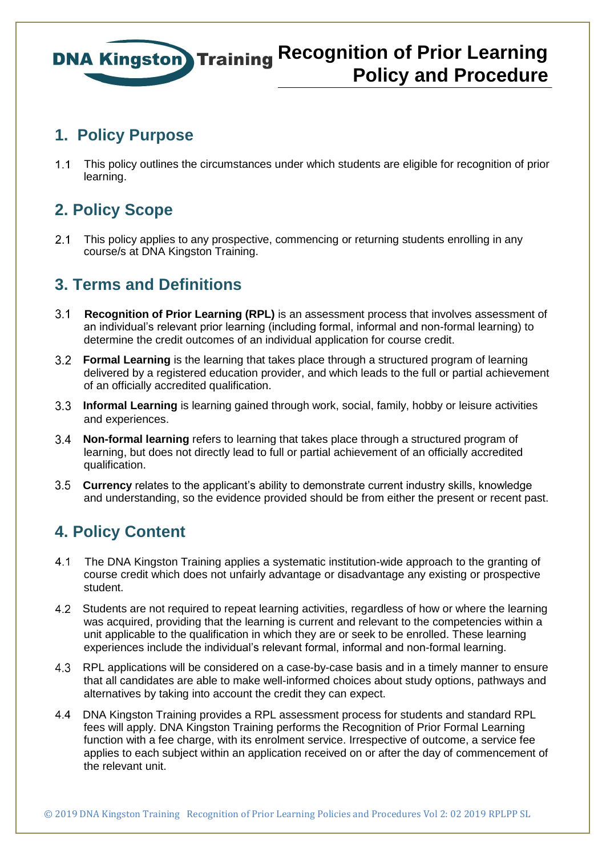#### **1. Policy Purpose**

 This policy outlines the circumstances under which students are eligible for recognition of prior learning.

### **2. Policy Scope**

2.1 This policy applies to any prospective, commencing or returning students enrolling in any course/s at DNA Kingston Training.

### **3. Terms and Definitions**

- **Recognition of Prior Learning (RPL)** is an assessment process that involves assessment of an individual's relevant prior learning (including formal, informal and non-formal learning) to determine the credit outcomes of an individual application for course credit.
- **Formal Learning** is the learning that takes place through a structured program of learning delivered by a registered education provider, and which leads to the full or partial achievement of an officially accredited qualification.
- **Informal Learning** is learning gained through work, social, family, hobby or leisure activities and experiences.
- **Non-formal learning** refers to learning that takes place through a structured program of learning, but does not directly lead to full or partial achievement of an officially accredited qualification.
- **Currency** relates to the applicant's ability to demonstrate current industry skills, knowledge and understanding, so the evidence provided should be from either the present or recent past.

### **4. Policy Content**

- The DNA Kingston Training applies a systematic institution-wide approach to the granting of course credit which does not unfairly advantage or disadvantage any existing or prospective student.
- Students are not required to repeat learning activities, regardless of how or where the learning was acquired, providing that the learning is current and relevant to the competencies within a unit applicable to the qualification in which they are or seek to be enrolled. These learning experiences include the individual's relevant formal, informal and non-formal learning.
- RPL applications will be considered on a case-by-case basis and in a timely manner to ensure that all candidates are able to make well-informed choices about study options, pathways and alternatives by taking into account the credit they can expect.
- DNA Kingston Training provides a RPL assessment process for students and standard RPL fees will apply. DNA Kingston Training performs the Recognition of Prior Formal Learning function with a fee charge, with its enrolment service. Irrespective of outcome, a service fee applies to each subject within an application received on or after the day of commencement of the relevant unit.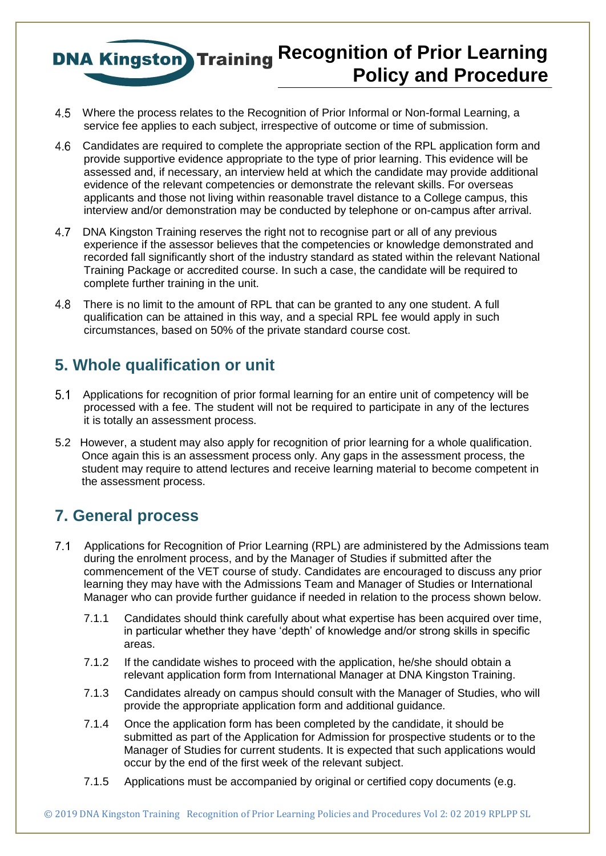- Where the process relates to the Recognition of Prior Informal or Non-formal Learning, a service fee applies to each subject, irrespective of outcome or time of submission.
- 4.6 Candidates are required to complete the appropriate section of the RPL application form and provide supportive evidence appropriate to the type of prior learning. This evidence will be assessed and, if necessary, an interview held at which the candidate may provide additional evidence of the relevant competencies or demonstrate the relevant skills. For overseas applicants and those not living within reasonable travel distance to a College campus, this interview and/or demonstration may be conducted by telephone or on-campus after arrival.
- DNA Kingston Training reserves the right not to recognise part or all of any previous experience if the assessor believes that the competencies or knowledge demonstrated and recorded fall significantly short of the industry standard as stated within the relevant National Training Package or accredited course. In such a case, the candidate will be required to complete further training in the unit.
- There is no limit to the amount of RPL that can be granted to any one student. A full qualification can be attained in this way, and a special RPL fee would apply in such circumstances, based on 50% of the private standard course cost.

#### **5. Whole qualification or unit**

- 5.1 Applications for recognition of prior formal learning for an entire unit of competency will be processed with a fee. The student will not be required to participate in any of the lectures it is totally an assessment process.
- 5.2 However, a student may also apply for recognition of prior learning for a whole qualification. Once again this is an assessment process only. Any gaps in the assessment process, the student may require to attend lectures and receive learning material to become competent in the assessment process.

### **7. General process**

- 7.1 Applications for Recognition of Prior Learning (RPL) are administered by the Admissions team during the enrolment process, and by the Manager of Studies if submitted after the commencement of the VET course of study. Candidates are encouraged to discuss any prior learning they may have with the Admissions Team and Manager of Studies or International Manager who can provide further guidance if needed in relation to the process shown below.
	- 7.1.1 Candidates should think carefully about what expertise has been acquired over time, in particular whether they have 'depth' of knowledge and/or strong skills in specific areas.
	- 7.1.2 If the candidate wishes to proceed with the application, he/she should obtain a relevant application form from International Manager at DNA Kingston Training.
	- 7.1.3 Candidates already on campus should consult with the Manager of Studies, who will provide the appropriate application form and additional guidance.
	- 7.1.4 Once the application form has been completed by the candidate, it should be submitted as part of the Application for Admission for prospective students or to the Manager of Studies for current students. It is expected that such applications would occur by the end of the first week of the relevant subject.
	- 7.1.5 Applications must be accompanied by original or certified copy documents (e.g.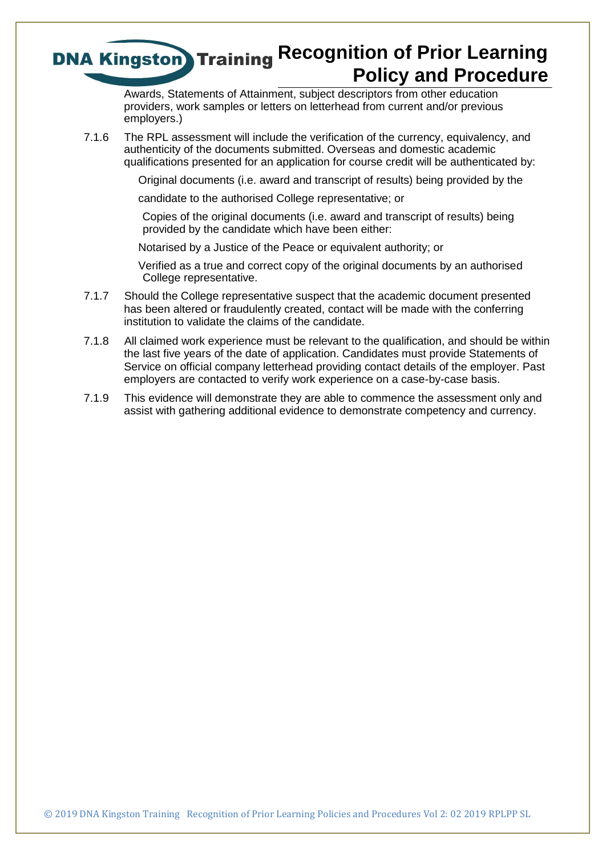Awards, Statements of Attainment, subject descriptors from other education providers, work samples or letters on letterhead from current and/or previous employers.)

7.1.6 The RPL assessment will include the verification of the currency, equivalency, and authenticity of the documents submitted. Overseas and domestic academic qualifications presented for an application for course credit will be authenticated by:

Original documents (i.e. award and transcript of results) being provided by the

candidate to the authorised College representative; or

Copies of the original documents (i.e. award and transcript of results) being provided by the candidate which have been either:

Notarised by a Justice of the Peace or equivalent authority; or

 Verified as a true and correct copy of the original documents by an authorised College representative.

- 7.1.7 Should the College representative suspect that the academic document presented has been altered or fraudulently created, contact will be made with the conferring institution to validate the claims of the candidate.
- 7.1.8 All claimed work experience must be relevant to the qualification, and should be within the last five years of the date of application. Candidates must provide Statements of Service on official company letterhead providing contact details of the employer. Past employers are contacted to verify work experience on a case-by-case basis.
- 7.1.9 This evidence will demonstrate they are able to commence the assessment only and assist with gathering additional evidence to demonstrate competency and currency.

© 2019 DNA Kingston Training Recognition of Prior Learning Policies and Procedures Vol 2: 02 2019 RPLPP SL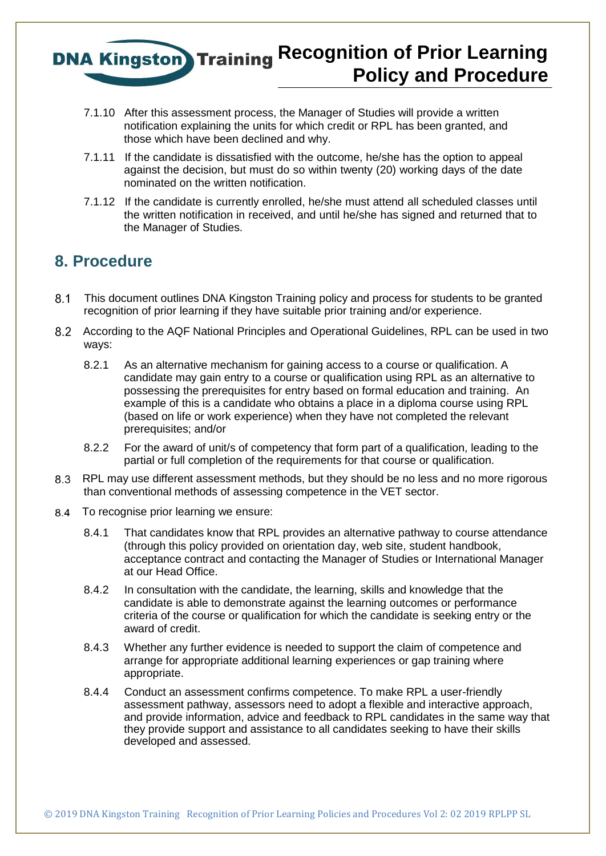- 7.1.10 After this assessment process, the Manager of Studies will provide a written notification explaining the units for which credit or RPL has been granted, and those which have been declined and why.
- 7.1.11 If the candidate is dissatisfied with the outcome, he/she has the option to appeal against the decision, but must do so within twenty (20) working days of the date nominated on the written notification.
- 7.1.12 If the candidate is currently enrolled, he/she must attend all scheduled classes until the written notification in received, and until he/she has signed and returned that to the Manager of Studies.

#### **8. Procedure**

- This document outlines DNA Kingston Training policy and process for students to be granted recognition of prior learning if they have suitable prior training and/or experience.
- According to the AQF National Principles and Operational Guidelines, RPL can be used in two ways:
	- 8.2.1 As an alternative mechanism for gaining access to a course or qualification. A candidate may gain entry to a course or qualification using RPL as an alternative to possessing the prerequisites for entry based on formal education and training. An example of this is a candidate who obtains a place in a diploma course using RPL (based on life or work experience) when they have not completed the relevant prerequisites; and/or
	- 8.2.2 For the award of unit/s of competency that form part of a qualification, leading to the partial or full completion of the requirements for that course or qualification.
- RPL may use different assessment methods, but they should be no less and no more rigorous than conventional methods of assessing competence in the VET sector.
- 8.4 To recognise prior learning we ensure:
	- 8.4.1 That candidates know that RPL provides an alternative pathway to course attendance (through this policy provided on orientation day, web site, student handbook, acceptance contract and contacting the Manager of Studies or International Manager at our Head Office.
	- 8.4.2 In consultation with the candidate, the learning, skills and knowledge that the candidate is able to demonstrate against the learning outcomes or performance criteria of the course or qualification for which the candidate is seeking entry or the award of credit.
	- 8.4.3 Whether any further evidence is needed to support the claim of competence and arrange for appropriate additional learning experiences or gap training where appropriate.
	- 8.4.4 Conduct an assessment confirms competence. To make RPL a user-friendly assessment pathway, assessors need to adopt a flexible and interactive approach, and provide information, advice and feedback to RPL candidates in the same way that they provide support and assistance to all candidates seeking to have their skills developed and assessed.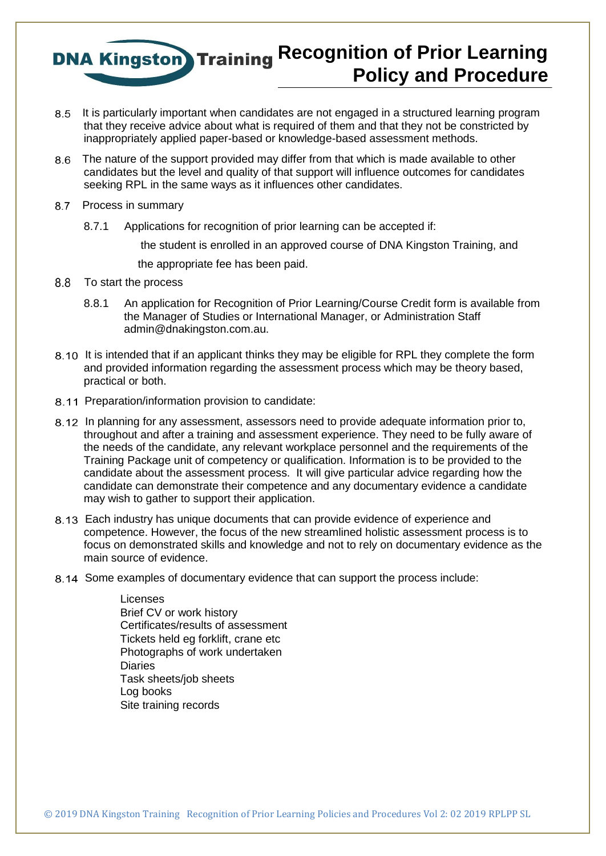- 8.5 It is particularly important when candidates are not engaged in a structured learning program that they receive advice about what is required of them and that they not be constricted by inappropriately applied paper-based or knowledge-based assessment methods.
- The nature of the support provided may differ from that which is made available to other candidates but the level and quality of that support will influence outcomes for candidates seeking RPL in the same ways as it influences other candidates.
- 8.7 Process in summary
	- 8.7.1 Applications for recognition of prior learning can be accepted if:

the student is enrolled in an approved course of DNA Kingston Training, and

the appropriate fee has been paid.

- 8.8 To start the process
	- 8.8.1 An application for Recognition of Prior Learning/Course Credit form is available from the Manager of Studies or International Manager, or Administration Staff admin@dnakingston.com.au.
- 8.10 It is intended that if an applicant thinks they may be eligible for RPL they complete the form and provided information regarding the assessment process which may be theory based, practical or both.
- 8.11 Preparation/information provision to candidate:
- 8.12 In planning for any assessment, assessors need to provide adequate information prior to, throughout and after a training and assessment experience. They need to be fully aware of the needs of the candidate, any relevant workplace personnel and the requirements of the Training Package unit of competency or qualification. Information is to be provided to the candidate about the assessment process. It will give particular advice regarding how the candidate can demonstrate their competence and any documentary evidence a candidate may wish to gather to support their application.
- Each industry has unique documents that can provide evidence of experience and competence. However, the focus of the new streamlined holistic assessment process is to focus on demonstrated skills and knowledge and not to rely on documentary evidence as the main source of evidence.
- 8.14 Some examples of documentary evidence that can support the process include:

 Licenses Brief CV or work history Certificates/results of assessment Tickets held eg forklift, crane etc Photographs of work undertaken **Diaries**  Task sheets/job sheets Log books Site training records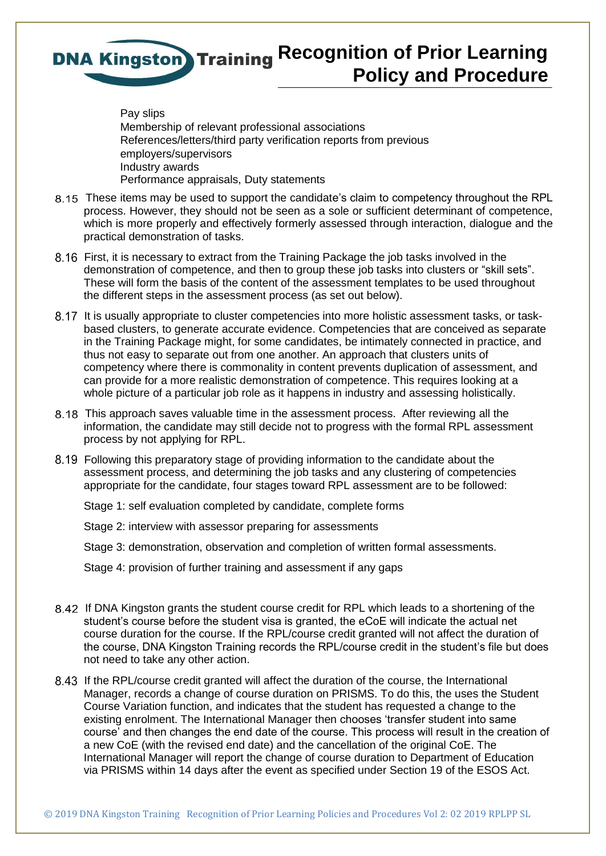

 Pay slips Membership of relevant professional associations References/letters/third party verification reports from previous employers/supervisors Industry awards Performance appraisals, Duty statements

- These items may be used to support the candidate's claim to competency throughout the RPL process. However, they should not be seen as a sole or sufficient determinant of competence, which is more properly and effectively formerly assessed through interaction, dialogue and the practical demonstration of tasks.
- First, it is necessary to extract from the Training Package the job tasks involved in the demonstration of competence, and then to group these job tasks into clusters or "skill sets". These will form the basis of the content of the assessment templates to be used throughout the different steps in the assessment process (as set out below).
- 8.17 It is usually appropriate to cluster competencies into more holistic assessment tasks, or taskbased clusters, to generate accurate evidence. Competencies that are conceived as separate in the Training Package might, for some candidates, be intimately connected in practice, and thus not easy to separate out from one another. An approach that clusters units of competency where there is commonality in content prevents duplication of assessment, and can provide for a more realistic demonstration of competence. This requires looking at a whole picture of a particular job role as it happens in industry and assessing holistically.
- This approach saves valuable time in the assessment process. After reviewing all the information, the candidate may still decide not to progress with the formal RPL assessment process by not applying for RPL.
- Following this preparatory stage of providing information to the candidate about the assessment process, and determining the job tasks and any clustering of competencies appropriate for the candidate, four stages toward RPL assessment are to be followed:

Stage 1: self evaluation completed by candidate, complete forms

Stage 2: interview with assessor preparing for assessments

Stage 3: demonstration, observation and completion of written formal assessments.

Stage 4: provision of further training and assessment if any gaps

- If DNA Kingston grants the student course credit for RPL which leads to a shortening of the student's course before the student visa is granted, the eCoE will indicate the actual net course duration for the course. If the RPL/course credit granted will not affect the duration of the course, DNA Kingston Training records the RPL/course credit in the student's file but does not need to take any other action.
- If the RPL/course credit granted will affect the duration of the course, the International Manager, records a change of course duration on PRISMS. To do this, the uses the Student Course Variation function, and indicates that the student has requested a change to the existing enrolment. The International Manager then chooses 'transfer student into same course' and then changes the end date of the course. This process will result in the creation of a new CoE (with the revised end date) and the cancellation of the original CoE. The International Manager will report the change of course duration to Department of Education via PRISMS within 14 days after the event as specified under Section 19 of the ESOS Act.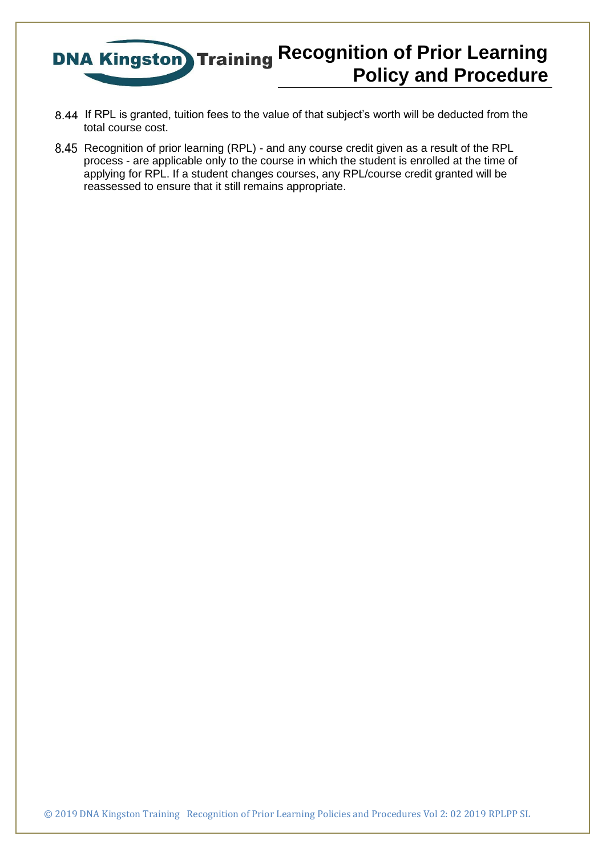

- 8.44 If RPL is granted, tuition fees to the value of that subject's worth will be deducted from the total course cost.
- 8.45 Recognition of prior learning (RPL) and any course credit given as a result of the RPL process - are applicable only to the course in which the student is enrolled at the time of applying for RPL. If a student changes courses, any RPL/course credit granted will be reassessed to ensure that it still remains appropriate.

© 2019 DNA Kingston Training Recognition of Prior Learning Policies and Procedures Vol 2: 02 2019 RPLPP SL